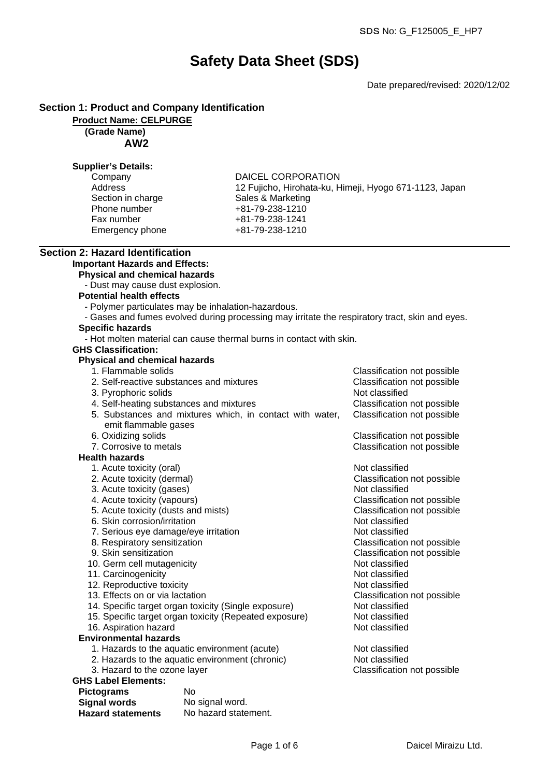# **Safety Data Sheet (SDS)**

Date prepared/revised: 2020/12/02

#### **Section 1: Product and Company Identification**

**Product Name: CELPURGE**

 **(Grade Name) AW2**

#### **Supplier's Details:**

| Company           | <b>DAICEL CORPORATION</b>                              |
|-------------------|--------------------------------------------------------|
| Address           | 12 Fujicho, Hirohata-ku, Himeji, Hyogo 671-1123, Japan |
| Section in charge | Sales & Marketing                                      |
| Phone number      | +81-79-238-1210                                        |
| Fax number        | +81-79-238-1241                                        |
| Emergency phone   | +81-79-238-1210                                        |
|                   |                                                        |

# **Section 2: Hazard Identification**

## **Important Hazards and Effects:**

- **Physical and chemical hazards**
- Dust may cause dust explosion.

#### **Potential health effects**

- Polymer particulates may be inhalation-hazardous.
- Gases and fumes evolved during processing may irritate the respiratory tract, skin and eyes.

## **Specific hazards**

- Hot molten material can cause thermal burns in contact with skin.

#### **GHS Classification:**

#### **Physical and chemical hazards**

- 1. Flammable solids Classification not possible
- 2. Self-reactive substances and mixtures Classification not possible 3. Pyrophoric solids Not classified 4. Self-heating substances and mixtures **EXACLASSIFICATE:** Classification not possible possible possible possible 5. Substances and mixtures which, in contact with water, emit flammable gases 6. Oxidizing solids Classification not possible classification not possible classification not possible classification  $\mathbb{C}$ 7. Corrosive to metals Classification not possible classification not possible classification not possible classification of  $\mathbb{C}$  **Health hazards** 1. Acute toxicity (oral) and the contract of the Not classified
	-
	- 3. Acute toxicity (gases) Not classified
	-
	- 5. Acute toxicity (dusts and mists) Classification not possible
	- 6. Skin corrosion/irritation Not classified
	- 7. Serious eye damage/eye irritation Not classified
	-
	-
	- 10. Germ cell mutagenicity
	- 11. Carcinogenicity **Note 20** and 20 and 20 and 20 and 20 and 20 and 20 and 20 and 20 and 20 and 20 and 20 and 20 and 20 and 20 and 20 and 20 and 20 and 20 and 20 and 20 and 20 and 20 and 20 and 20 and 20 and 20 and 20 and
	- 12. Reproductive toxicity and the set of the Not classified
	- 13. Effects on or via lactation Classification not possible
	- 14. Specific target organ toxicity (Single exposure) Not classified
	- 15. Specific target organ toxicity (Repeated exposure) Not classified
	- 16. Aspiration hazard Not classified
- **Environmental hazards**
	- 1. Hazards to the aquatic environment (acute) Not classified
	- 2. Hazards to the aquatic environment (chronic) Not classified
	-

## **GHS Label Elements:**

| <b>Pictograms</b>        | N٥                   |
|--------------------------|----------------------|
| <b>Signal words</b>      | No signal word.      |
| <b>Hazard statements</b> | No hazard statement. |

| Classification not possible<br>Classification not possible               |  |
|--------------------------------------------------------------------------|--|
| <b>Classification not possible</b><br><b>Classification not possible</b> |  |

2. Acute toxicity (dermal) Classification not possible 4. Acute toxicity (vapours) Classification not possible 8. Respiratory sensitization Classification not possible 9. Skin sensitization and the sensitive of the classification not possible of the Classification not possible of the Classification not possible of the Classified

3. Hazard to the ozone layer Classification not possible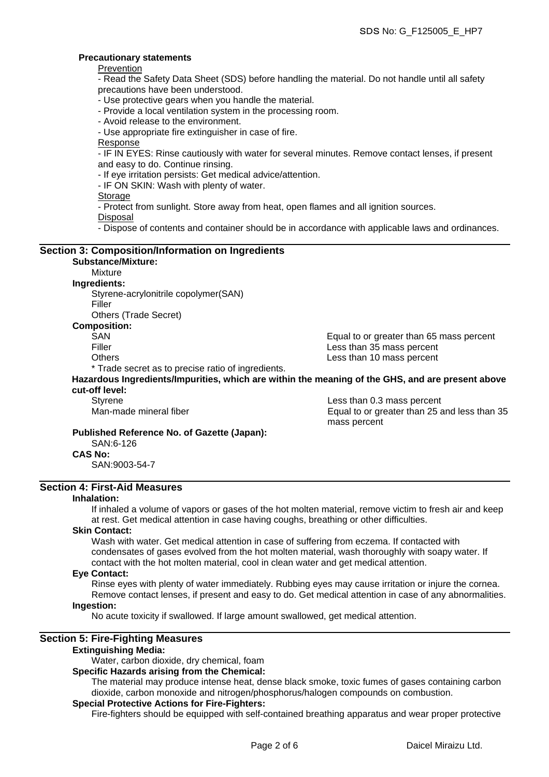#### **Precautionary statements**

Prevention

- Read the Safety Data Sheet (SDS) before handling the material. Do not handle until all safety precautions have been understood.

- Use protective gears when you handle the material.

- Provide a local ventilation system in the processing room.

- Avoid release to the environment.

- Use appropriate fire extinguisher in case of fire.

Response

- IF IN EYES: Rinse cautiously with water for several minutes. Remove contact lenses, if present and easy to do. Continue rinsing.

- If eye irritation persists: Get medical advice/attention.

- IF ON SKIN: Wash with plenty of water.

**Storage** 

- Protect from sunlight. Store away from heat, open flames and all ignition sources.

Disposal

- Dispose of contents and container should be in accordance with applicable laws and ordinances.

#### **Section 3: Composition/Information on Ingredients Substance/Mixture:** Mixture **Ingredients:**

Styrene-acrylonitrile copolymer(SAN)

Filler

Others (Trade Secret)

**Composition:**

SAN Equal to or greater than 65 mass percent Filler **Example 20** Filler **Less than 35 mass percent** Others Less than 10 mass percent

\* Trade secret as to precise ratio of ingredients.

#### **Hazardous Ingredients/Impurities, which are within the meaning of the GHS, and are present above cut-off level:**

Styrene **Less than 0.3 mass percent** Man-made mineral fiber Equal to or greater than 25 and less than 35 mass percent

#### **Published Reference No. of Gazette (Japan):**

SAN:6-126 **CAS No:**

SAN:9003-54-7

#### **Section 4: First-Aid Measures**

#### **Inhalation:**

If inhaled a volume of vapors or gases of the hot molten material, remove victim to fresh air and keep at rest. Get medical attention in case having coughs, breathing or other difficulties.

#### **Skin Contact:**

Wash with water. Get medical attention in case of suffering from eczema. If contacted with condensates of gases evolved from the hot molten material, wash thoroughly with soapy water. If contact with the hot molten material, cool in clean water and get medical attention.

#### **Eye Contact:**

Rinse eyes with plenty of water immediately. Rubbing eyes may cause irritation or injure the cornea. Remove contact lenses, if present and easy to do. Get medical attention in case of any abnormalities.

#### **Ingestion:**

No acute toxicity if swallowed. If large amount swallowed, get medical attention.

#### **Section 5: Fire-Fighting Measures**

#### **Extinguishing Media:**

Water, carbon dioxide, dry chemical, foam

#### **Specific Hazards arising from the Chemical:**

The material may produce intense heat, dense black smoke, toxic fumes of gases containing carbon dioxide, carbon monoxide and nitrogen/phosphorus/halogen compounds on combustion.

#### **Special Protective Actions for Fire-Fighters:**

Fire-fighters should be equipped with self-contained breathing apparatus and wear proper protective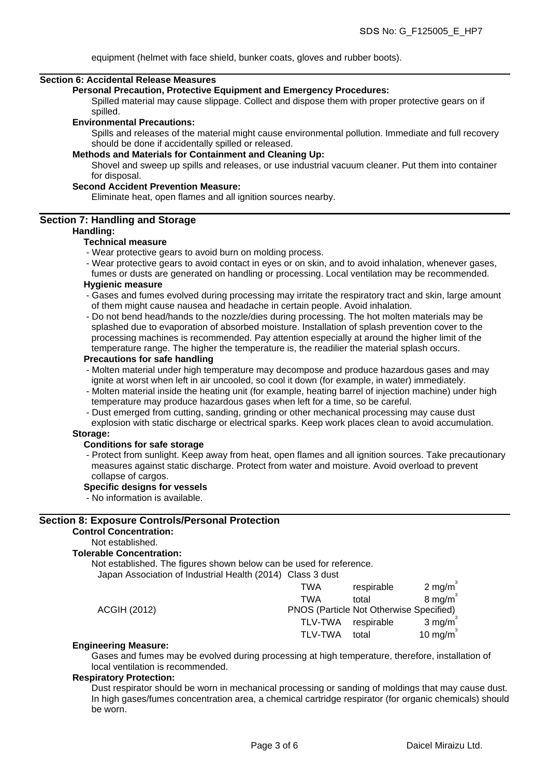equipment (helmet with face shield, bunker coats, gloves and rubber boots).

#### **Section 6: Accidental Release Measures**

**Personal Precaution, Protective Equipment and Emergency Procedures:**

Spilled material may cause slippage. Collect and dispose them with proper protective gears on if spilled.

#### **Environmental Precautions:**

Spills and releases of the material might cause environmental pollution. Immediate and full recovery should be done if accidentally spilled or released.

#### **Methods and Materials for Containment and Cleaning Up:**

Shovel and sweep up spills and releases, or use industrial vacuum cleaner. Put them into container for disposal.

#### **Second Accident Prevention Measure:**

Eliminate heat, open flames and all ignition sources nearby.

#### **Section 7: Handling and Storage**

#### **Handling:**

#### **Technical measure**

- Wear protective gears to avoid burn on molding process.
- Wear protective gears to avoid contact in eyes or on skin, and to avoid inhalation, whenever gases,
- fumes or dusts are generated on handling or processing. Local ventilation may be recommended. **Hygienic measure**
- Gases and fumes evolved during processing may irritate the respiratory tract and skin, large amount of them might cause nausea and headache in certain people. Avoid inhalation.
- Do not bend head/hands to the nozzle/dies during processing. The hot molten materials may be splashed due to evaporation of absorbed moisture. Installation of splash prevention cover to the processing machines is recommended. Pay attention especially at around the higher limit of the temperature range. The higher the temperature is, the readilier the material splash occurs.

#### **Precautions for safe handling**

- Molten material under high temperature may decompose and produce hazardous gases and may ignite at worst when left in air uncooled, so cool it down (for example, in water) immediately.
- Molten material inside the heating unit (for example, heating barrel of injection machine) under high temperature may produce hazardous gases when left for a time, so be careful.
- Dust emerged from cutting, sanding, grinding or other mechanical processing may cause dust explosion with static discharge or electrical sparks. Keep work places clean to avoid accumulation.

#### **Storage:**

#### **Conditions for safe storage**

- Protect from sunlight. Keep away from heat, open flames and all ignition sources. Take precautionary measures against static discharge. Protect from water and moisture. Avoid overload to prevent collapse of cargos.

#### **Specific designs for vessels**

- No information is available.

#### **Section 8: Exposure Controls/Personal Protection**

#### **Control Concentration:**

Not established.

#### **Tolerable Concentration:**

Not established. The figures shown below can be used for reference.

Japan Association of Industrial Health (2014) Class 3 dust

|                     | TWA            | respirable                              | $2 \text{ mg/m}^3$   |
|---------------------|----------------|-----------------------------------------|----------------------|
|                     | TWA            | total                                   | $8 \text{ mg/m}^3$   |
| <b>ACGIH (2012)</b> |                | PNOS (Particle Not Otherwise Specified) |                      |
|                     | TLV-TWA        | respirable                              | $3 \text{ mg/m}^3$   |
|                     | <b>TLV-TWA</b> | total                                   | 10 mg/m <sup>3</sup> |

#### **Engineering Measure:**

Gases and fumes may be evolved during processing at high temperature, therefore, installation of local ventilation is recommended.

#### **Respiratory Protection:**

Dust respirator should be worn in mechanical processing or sanding of moldings that may cause dust. In high gases/fumes concentration area, a chemical cartridge respirator (for organic chemicals) should be worn.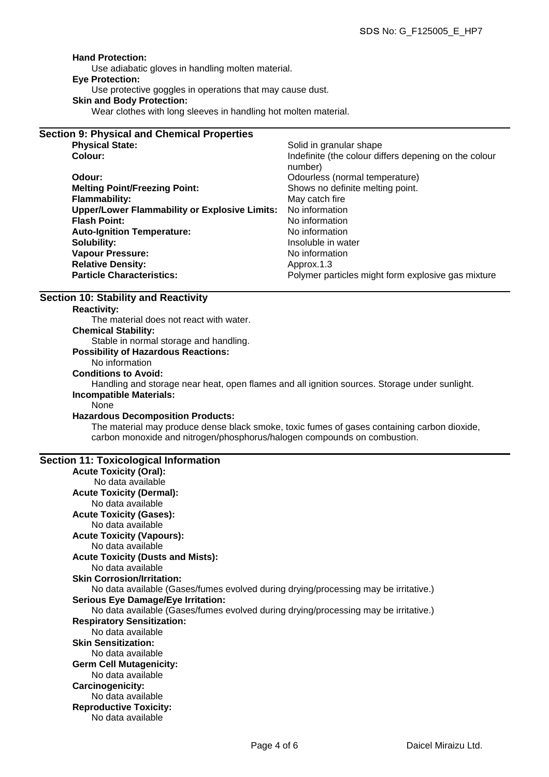#### **Hand Protection:**

Use adiabatic gloves in handling molten material.

## **Eye Protection:**

Use protective goggles in operations that may cause dust.

#### **Skin and Body Protection:**

Wear clothes with long sleeves in handling hot molten material.

| <b>Section 9: Physical and Chemical Properties</b>   |                                                                  |
|------------------------------------------------------|------------------------------------------------------------------|
| <b>Physical State:</b>                               | Solid in granular shape                                          |
| Colour:                                              | Indefinite (the colour differs depening on the colour<br>number) |
| Odour:                                               | Odourless (normal temperature)                                   |
| <b>Melting Point/Freezing Point:</b>                 | Shows no definite melting point.                                 |
| <b>Flammability:</b>                                 | May catch fire                                                   |
| <b>Upper/Lower Flammability or Explosive Limits:</b> | No information                                                   |
| <b>Flash Point:</b>                                  | No information                                                   |
| <b>Auto-Ignition Temperature:</b>                    | No information                                                   |
| Solubility:                                          | Insoluble in water                                               |
| <b>Vapour Pressure:</b>                              | No information                                                   |
| <b>Relative Density:</b>                             | Approx.1.3                                                       |
| <b>Particle Characteristics:</b>                     | Polymer particles might form explosive gas mixture               |

## **Section 10: Stability and Reactivity**

#### **Reactivity:**

The material does not react with water. **Chemical Stability:** Stable in normal storage and handling. **Possibility of Hazardous Reactions:**

#### No information

**Conditions to Avoid:**

Handling and storage near heat, open flames and all ignition sources. Storage under sunlight. **Incompatible Materials:**

None

#### **Hazardous Decomposition Products:**

The material may produce dense black smoke, toxic fumes of gases containing carbon dioxide, carbon monoxide and nitrogen/phosphorus/halogen compounds on combustion.

#### **Section 11: Toxicological Information**

| <b>Acute Toxicity (Oral):</b>                                                       |
|-------------------------------------------------------------------------------------|
| No data available                                                                   |
| <b>Acute Toxicity (Dermal):</b>                                                     |
| No data available                                                                   |
| <b>Acute Toxicity (Gases):</b>                                                      |
| No data available                                                                   |
| <b>Acute Toxicity (Vapours):</b>                                                    |
| No data available                                                                   |
| <b>Acute Toxicity (Dusts and Mists):</b>                                            |
| No data available                                                                   |
| <b>Skin Corrosion/Irritation:</b>                                                   |
| No data available (Gases/fumes evolved during drying/processing may be irritative.) |
| <b>Serious Eye Damage/Eye Irritation:</b>                                           |
| No data available (Gases/fumes evolved during drying/processing may be irritative.) |
| <b>Respiratory Sensitization:</b>                                                   |
| No data available                                                                   |
| <b>Skin Sensitization:</b>                                                          |
| No data available                                                                   |
| <b>Germ Cell Mutagenicity:</b>                                                      |
| No data available                                                                   |
| Carcinogenicity:                                                                    |
| No data available                                                                   |
| <b>Reproductive Toxicity:</b>                                                       |
| No data available                                                                   |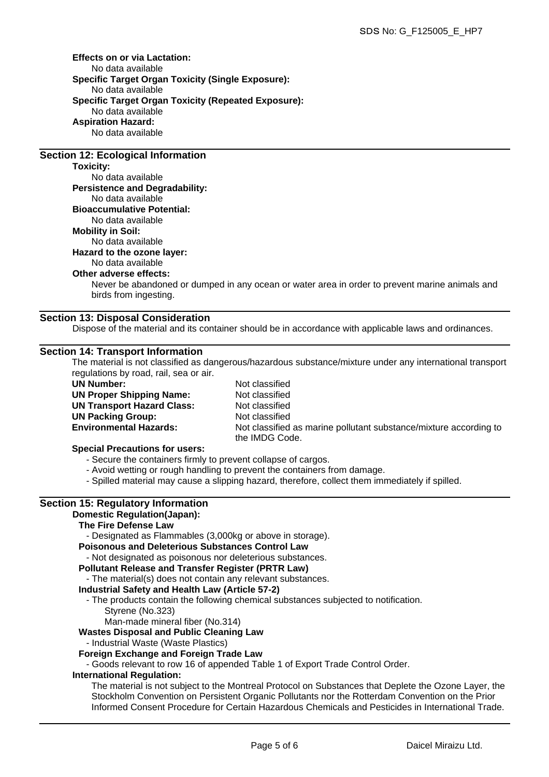**Effects on or via Lactation:** No data available **Specific Target Organ Toxicity (Single Exposure):** No data available **Specific Target Organ Toxicity (Repeated Exposure):** No data available **Aspiration Hazard:** No data available

#### **Section 12: Ecological Information**

#### **Toxicity:**

No data available **Persistence and Degradability:** No data available **Bioaccumulative Potential:** No data available **Mobility in Soil:** No data available **Hazard to the ozone layer:** No data available

#### **Other adverse effects:**

Never be abandoned or dumped in any ocean or water area in order to prevent marine animals and birds from ingesting.

#### **Section 13: Disposal Consideration**

Dispose of the material and its container should be in accordance with applicable laws and ordinances.

#### **Section 14: Transport Information**

The material is not classified as dangerous/hazardous substance/mixture under any international transport regulations by road, rail, sea or air.

| <b>UN Number:</b>                 |  |  |
|-----------------------------------|--|--|
| <b>UN Proper Shipping Name:</b>   |  |  |
| <b>UN Transport Hazard Class:</b> |  |  |
| <b>UN Packing Group:</b>          |  |  |
| <b>Environmental Hazards:</b>     |  |  |
|                                   |  |  |

**Not classified Not classified Not classified Not classified** Not classified as marine pollutant substance/mixture according to the IMDG Code.

#### **Special Precautions for users:**

- Secure the containers firmly to prevent collapse of cargos.

- Avoid wetting or rough handling to prevent the containers from damage.
- Spilled material may cause a slipping hazard, therefore, collect them immediately if spilled.

## **Section 15: Regulatory Information**

## **Domestic Regulation(Japan):**

## **The Fire Defense Law**

- Designated as Flammables (3,000kg or above in storage).

**Poisonous and Deleterious Substances Control Law**

- Not designated as poisonous nor deleterious substances.

#### **Pollutant Release and Transfer Register (PRTR Law)**

- The material(s) does not contain any relevant substances.

## **Industrial Safety and Health Law (Article 57-2)**

- The products contain the following chemical substances subjected to notification. Styrene (No.323)

Man-made mineral fiber (No.314)

## **Wastes Disposal and Public Cleaning Law**

- Industrial Waste (Waste Plastics)

## **Foreign Exchange and Foreign Trade Law**

- Goods relevant to row 16 of appended Table 1 of Export Trade Control Order.

#### **International Regulation:**

The material is not subject to the Montreal Protocol on Substances that Deplete the Ozone Layer, the Stockholm Convention on Persistent Organic Pollutants nor the Rotterdam Convention on the Prior Informed Consent Procedure for Certain Hazardous Chemicals and Pesticides in International Trade.